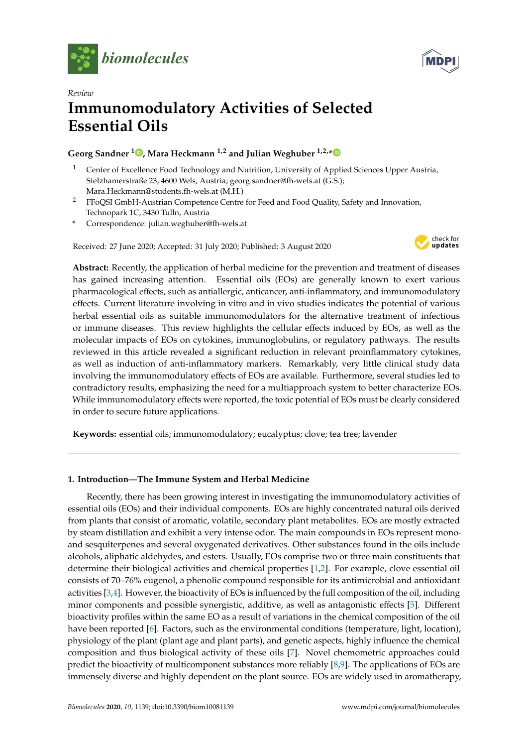



# *Review* **Immunomodulatory Activities of Selected Essential Oils**

# **Georg Sandner <sup>1</sup> [,](https://orcid.org/0000-0001-8740-6123) Mara Heckmann 1,2 and Julian Weghuber 1,2,[\\*](https://orcid.org/0000-0001-6312-4666)**

- <sup>1</sup> Center of Excellence Food Technology and Nutrition, University of Applied Sciences Upper Austria, Stelzhamerstraße 23, 4600 Wels, Austria; georg.sandner@fh-wels.at (G.S.); Mara.Heckmann@students.fh-wels.at (M.H.)
- <sup>2</sup> FFoQSI GmbH-Austrian Competence Centre for Feed and Food Quality, Safety and Innovation, Technopark 1C, 3430 Tulln, Austria
- **\*** Correspondence: julian.weghuber@fh-wels.at

Received: 27 June 2020; Accepted: 31 July 2020; Published: 3 August 2020



**Abstract:** Recently, the application of herbal medicine for the prevention and treatment of diseases has gained increasing attention. Essential oils (EOs) are generally known to exert various pharmacological effects, such as antiallergic, anticancer, anti-inflammatory, and immunomodulatory effects. Current literature involving in vitro and in vivo studies indicates the potential of various herbal essential oils as suitable immunomodulators for the alternative treatment of infectious or immune diseases. This review highlights the cellular effects induced by EOs, as well as the molecular impacts of EOs on cytokines, immunoglobulins, or regulatory pathways. The results reviewed in this article revealed a significant reduction in relevant proinflammatory cytokines, as well as induction of anti-inflammatory markers. Remarkably, very little clinical study data involving the immunomodulatory effects of EOs are available. Furthermore, several studies led to contradictory results, emphasizing the need for a multiapproach system to better characterize EOs. While immunomodulatory effects were reported, the toxic potential of EOs must be clearly considered in order to secure future applications.

**Keywords:** essential oils; immunomodulatory; eucalyptus; clove; tea tree; lavender

# **1. Introduction—The Immune System and Herbal Medicine**

Recently, there has been growing interest in investigating the immunomodulatory activities of essential oils (EOs) and their individual components. EOs are highly concentrated natural oils derived from plants that consist of aromatic, volatile, secondary plant metabolites. EOs are mostly extracted by steam distillation and exhibit a very intense odor. The main compounds in EOs represent monoand sesquiterpenes and several oxygenated derivatives. Other substances found in the oils include alcohols, aliphatic aldehydes, and esters. Usually, EOs comprise two or three main constituents that determine their biological activities and chemical properties [\[1,](#page-11-0)[2\]](#page-11-1). For example, clove essential oil consists of 70–76% eugenol, a phenolic compound responsible for its antimicrobial and antioxidant activities [\[3,](#page-11-2)[4\]](#page-11-3). However, the bioactivity of EOs is influenced by the full composition of the oil, including minor components and possible synergistic, additive, as well as antagonistic effects [\[5\]](#page-11-4). Different bioactivity profiles within the same EO as a result of variations in the chemical composition of the oil have been reported [\[6\]](#page-11-5). Factors, such as the environmental conditions (temperature, light, location), physiology of the plant (plant age and plant parts), and genetic aspects, highly influence the chemical composition and thus biological activity of these oils [\[7\]](#page-11-6). Novel chemometric approaches could predict the bioactivity of multicomponent substances more reliably [\[8](#page-12-0)[,9\]](#page-12-1). The applications of EOs are immensely diverse and highly dependent on the plant source. EOs are widely used in aromatherapy,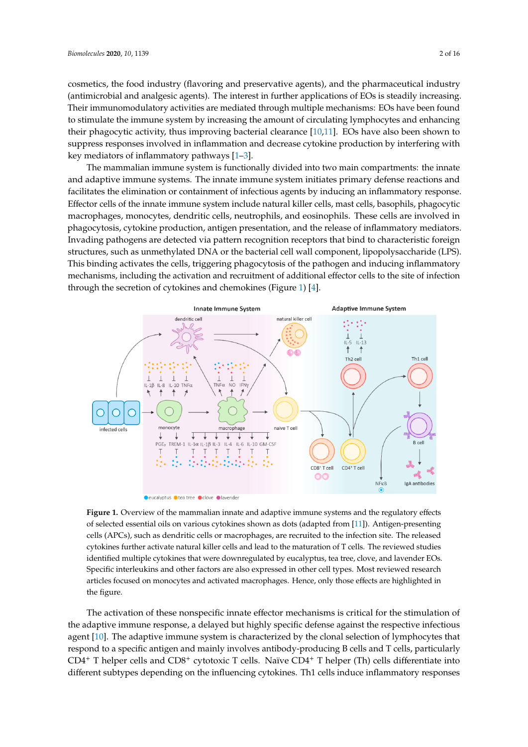cosmetics, the food industry (flavoring and preservative agents), and the pharmaceutical industry (antimicrobial and analgesic agents). The interest in further applications of EOs is steadily increasing. Their immunomodulatory activities are mediated through multiple mechanisms: EOs have been found to stimulate the immune system by increasing the amount of circulating lymphocytes and enhancing their phagocytic activity, thus improving bacterial clearance  $[10,11]$  $[10,11]$ . EOs have also been shown to suppress responses involved in inflammation and decrease cytokine production by interfering with key mediators of inflammatory pathways [\[1–](#page-11-0)[3\]](#page-11-2).  $\,$ 

The mammalian immune system is functionally divided into two main compartments: the innate and adaptive immune systems. The innate immune system initiates primary defense reactions and facilitates the elimination or containment of infectious agents by inducing an inflammatory response. Effector cells of the innate immune system include natural killer cells, mast cells, basophils, phagocytic macrophages, monocytes, dendritic cells, neutrophils, and eosinophils. These cells are involved in phagocytosis, cytokine production, antigen presentation, and the release of inflammatory mediators. Invading pathogens are detected via pattern recognition receptors that bind to characteristic foreign structures, such as unmethylated DNA or the bacterial cell wall component, lipopolysaccharide (LPS). This binding activates the cells, triggering phagocytosis of the pathogen and inducing inflammatory mechanisms, including the activation and recruitment of additional effector cells to the site of infection through the secretion of cytokines and chemokines (Figure [1\)](#page-1-0) [\[4\]](#page-11-3).

<span id="page-1-0"></span>

**Figure 1.** Overview of the mammalian innate and adaptive immune systems and the regulatory effects **Figure 1.** Overview of the mammalian innate and adaptive immune systems and the regulatory effects of selected essential oils on various cytokines shown as dots (adapted from [\[11\]](#page-12-3)). Antigen-presenting of selected essential oils on various cytokines shown as dots (adapted from [11]). Antigen-presenting cells (APCs), such as dendritic cells or macrophages, are recruited to the infection site. The released cells (APCs), such as dendritic cells or macrophages, are recruited to the infection site. The released cytokines further activate natural killer cells and lead to the maturation of T cells. The reviewed cytokines further activate natural killer cells and lead to the maturation of T cells. The reviewed studies identified multiple cytokines that were downregulated by eucalyptus, tea tree, clove, and lavender EOs. Specific interleukins and other factors are also expressed in other cell types. Most reviewed research articles focused on monocytes and activated macrophages. Hence, only those effects are highlighted in the figure.

The activation of these nonspecific innate effector mechanisms is critical for the stimulation of the adaptive immune response, a delayed but highly specific defense against the respective infectious agent [\[10\]](#page-12-2). The adaptive immune system is characterized by the clonal selection of lymphocytes that respond to a specific antigen and mainly involves antibody-producing B cells and T cells, particularly CD4<sup>+</sup> T helper cells and CD8<sup>+</sup> cytotoxic T cells. Naïve CD4<sup>+</sup> T helper (Th) cells differentiate into different subtypes depending on the influencing cytokines. Th1 cells induce inflammatory responses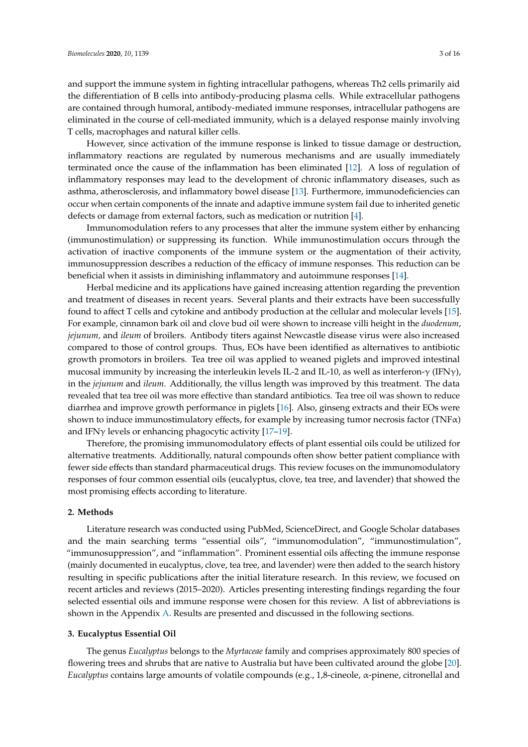and support the immune system in fighting intracellular pathogens, whereas Th2 cells primarily aid the differentiation of B cells into antibody-producing plasma cells. While extracellular pathogens are contained through humoral, antibody-mediated immune responses, intracellular pathogens are eliminated in the course of cell-mediated immunity, which is a delayed response mainly involving T cells, macrophages and natural killer cells.

However, since activation of the immune response is linked to tissue damage or destruction, inflammatory reactions are regulated by numerous mechanisms and are usually immediately terminated once the cause of the inflammation has been eliminated [\[12\]](#page-12-4). A loss of regulation of inflammatory responses may lead to the development of chronic inflammatory diseases, such as asthma, atherosclerosis, and inflammatory bowel disease [\[13\]](#page-12-5). Furthermore, immunodeficiencies can occur when certain components of the innate and adaptive immune system fail due to inherited genetic defects or damage from external factors, such as medication or nutrition [\[4\]](#page-11-3).

Immunomodulation refers to any processes that alter the immune system either by enhancing (immunostimulation) or suppressing its function. While immunostimulation occurs through the activation of inactive components of the immune system or the augmentation of their activity, immunosuppression describes a reduction of the efficacy of immune responses. This reduction can be beneficial when it assists in diminishing inflammatory and autoimmune responses [\[14\]](#page-12-6).

Herbal medicine and its applications have gained increasing attention regarding the prevention and treatment of diseases in recent years. Several plants and their extracts have been successfully found to affect T cells and cytokine and antibody production at the cellular and molecular levels [\[15\]](#page-12-7). For example, cinnamon bark oil and clove bud oil were shown to increase villi height in the *duodenum*, *jejunum,* and *ileum* of broilers. Antibody titers against Newcastle disease virus were also increased compared to those of control groups. Thus, EOs have been identified as alternatives to antibiotic growth promotors in broilers. Tea tree oil was applied to weaned piglets and improved intestinal mucosal immunity by increasing the interleukin levels IL-2 and IL-10, as well as interferon- $\gamma$  (IFN $\gamma$ ), in the *jejunum* and *ileum*. Additionally, the villus length was improved by this treatment. The data revealed that tea tree oil was more effective than standard antibiotics. Tea tree oil was shown to reduce diarrhea and improve growth performance in piglets [\[16\]](#page-12-8). Also, ginseng extracts and their EOs were shown to induce immunostimulatory effects, for example by increasing tumor necrosis factor (TNF $\alpha$ ) and IFN $\gamma$  levels or enhancing phagocytic activity [17-[19\]](#page-12-10).

Therefore, the promising immunomodulatory effects of plant essential oils could be utilized for alternative treatments. Additionally, natural compounds often show better patient compliance with fewer side effects than standard pharmaceutical drugs. This review focuses on the immunomodulatory responses of four common essential oils (eucalyptus, clove, tea tree, and lavender) that showed the most promising effects according to literature.

#### **2. Methods**

Literature research was conducted using PubMed, ScienceDirect, and Google Scholar databases and the main searching terms "essential oils", "immunomodulation", "immunostimulation", "immunosuppression", and "inflammation". Prominent essential oils affecting the immune response (mainly documented in eucalyptus, clove, tea tree, and lavender) were then added to the search history resulting in specific publications after the initial literature research. In this review, we focused on recent articles and reviews (2015–2020). Articles presenting interesting findings regarding the four selected essential oils and immune response were chosen for this review. A list of abbreviations is shown in the Appendix [A.](#page-11-7) Results are presented and discussed in the following sections.

#### **3. Eucalyptus Essential Oil**

The genus *Eucalyptus* belongs to the *Myrtaceae* family and comprises approximately 800 species of flowering trees and shrubs that are native to Australia but have been cultivated around the globe [\[20\]](#page-12-11). *Eucalyptus* contains large amounts of volatile compounds (e.g., 1,8-cineole, α-pinene, citronellal and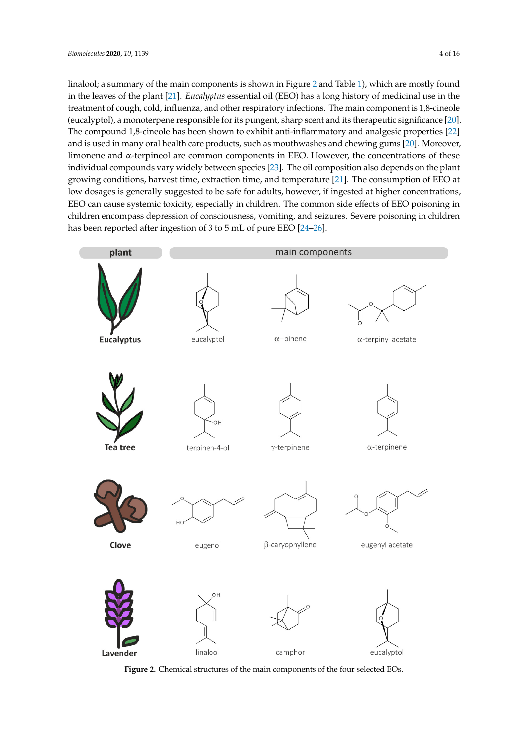linalool; a summary of the main components is shown in Figure [2](#page-3-0) and Table [1\)](#page-4-0), which are mostly found in the leaves of the plant [\[21\]](#page-12-12). *Eucalyptus* essential oil (EEO) has a long history of medicinal use in the treatment of cough, cold, influenza, and other respiratory infections. The main component is 1,8-cineole (eucalyptol), a monoterpene responsible for its pungent, sharp scent and its therapeutic significance [\[20\]](#page-12-11). The compound 1,8-cineole has been shown to exhibit anti-inflammatory and analgesic properties  $\left[22\right]$ and is used in many oral health care products, such as mouthwashes and chewing gums [\[20\]](#page-12-11). Moreover, limonene and  $\alpha$ -terpineol are common components in EEO. However, the concentrations of these individual compounds vary widely between species [\[23\]](#page-12-14). The oil composition also depends on the plant growing conditions, harvest time, extraction time, and temperature [\[21\]](#page-12-12). The consumption of  $\rm{EEO}$  at low dosages is generally suggested to be safe for adults, however, if ingested at higher concentrations, EEO can cause systemic toxicity, especially in children. The common side effects of EEO poisoning in children encompass depression of consciousness, vomiting, and seizures. Severe poisoning in children has been reported after ingestion of  $3$  to  $5$  mL of pure EEO [\[24](#page-12-15)[–26\]](#page-12-16).

<span id="page-3-0"></span>

Figure 2. Chemical structures of the main components of the four selected EOs.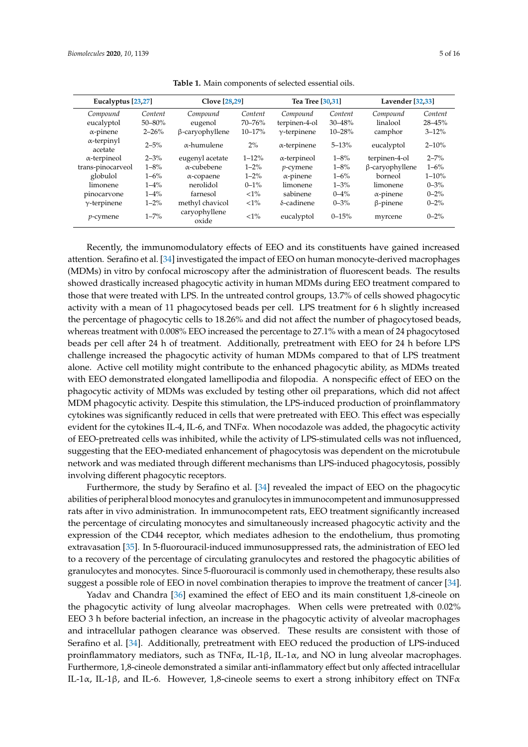<span id="page-4-0"></span>

| Eucalyptus [23,27]            |             | <b>Clove</b> [28,29]   |            | Tea Tree [30.31]    |            | Lavender [32.33] |           |
|-------------------------------|-------------|------------------------|------------|---------------------|------------|------------------|-----------|
| Compound                      | Content     | Compound               | Content    | Compound            | Content    | Compound         | Content   |
| eucalyptol                    | $50 - 80\%$ | eugenol                | $70 - 76%$ | terpinen-4-ol       | $30 - 48%$ | linalool         | 28-45%    |
| $\alpha$ -pinene              | $2 - 26%$   | $\beta$ -caryophyllene | $10 - 17%$ | $\gamma$ -terpinene | 10-28%     | camphor          | $3 - 12%$ |
| $\alpha$ -terpinyl<br>acetate | $2 - 5%$    | $\alpha$ -humulene     | $2\%$      | $\alpha$ -terpinene | $5 - 13%$  | eucalyptol       | $2 - 10%$ |
| $\alpha$ -terpineol           | $2 - 3%$    | eugenyl acetate        | $1 - 12%$  | $\alpha$ -terpineol | $1 - 8\%$  | terpinen-4-ol    | $2 - 7%$  |
| trans-pinocarveol             | $1 - 8\%$   | $\alpha$ -cubebene     | $1 - 2\%$  | $p$ -cymene         | $1 - 8\%$  | β-caryophyllene  | $1 - 6\%$ |
| globulol                      | $1 - 6\%$   | $\alpha$ -copaene      | $1 - 2\%$  | $\alpha$ -pinene    | $1 - 6\%$  | borneol          | $1 - 10%$ |
| limonene                      | $1 - 4\%$   | nerolidol              | $0 - 1\%$  | limonene            | $1 - 3%$   | limonene         | $0 - 3\%$ |
| pinocarvone                   | $1 - 4\%$   | farnesol               | ${<}1\%$   | sabinene            | $0 - 4\%$  | $\alpha$ -pinene | $0 - 2\%$ |
| $\gamma$ -terpinene           | $1 - 2%$    | methyl chavicol        | ${<}1\%$   | $\delta$ -cadinene  | $0 - 3\%$  | $\beta$ -pinene  | $0 - 2\%$ |
| $p$ -cymene                   | $1 - 7\%$   | caryophyllene<br>oxide | ${<}1\%$   | eucalyptol          | $0 - 15%$  | myrcene          | $0 - 2\%$ |

**Table 1.** Main components of selected essential oils.

Recently, the immunomodulatory effects of EEO and its constituents have gained increased attention. Serafino et al. [\[34\]](#page-13-6) investigated the impact of EEO on human monocyte-derived macrophages (MDMs) in vitro by confocal microscopy after the administration of fluorescent beads. The results showed drastically increased phagocytic activity in human MDMs during EEO treatment compared to those that were treated with LPS. In the untreated control groups, 13.7% of cells showed phagocytic activity with a mean of 11 phagocytosed beads per cell. LPS treatment for 6 h slightly increased the percentage of phagocytic cells to 18.26% and did not affect the number of phagocytosed beads, whereas treatment with 0.008% EEO increased the percentage to 27.1% with a mean of 24 phagocytosed beads per cell after 24 h of treatment. Additionally, pretreatment with EEO for 24 h before LPS challenge increased the phagocytic activity of human MDMs compared to that of LPS treatment alone. Active cell motility might contribute to the enhanced phagocytic ability, as MDMs treated with EEO demonstrated elongated lamellipodia and filopodia. A nonspecific effect of EEO on the phagocytic activity of MDMs was excluded by testing other oil preparations, which did not affect MDM phagocytic activity. Despite this stimulation, the LPS-induced production of proinflammatory cytokines was significantly reduced in cells that were pretreated with EEO. This effect was especially evident for the cytokines IL-4, IL-6, and TNF $\alpha$ . When nocodazole was added, the phagocytic activity of EEO-pretreated cells was inhibited, while the activity of LPS-stimulated cells was not influenced, suggesting that the EEO-mediated enhancement of phagocytosis was dependent on the microtubule network and was mediated through different mechanisms than LPS-induced phagocytosis, possibly involving different phagocytic receptors.

Furthermore, the study by Serafino et al. [\[34\]](#page-13-6) revealed the impact of EEO on the phagocytic abilities of peripheral blood monocytes and granulocytes in immunocompetent and immunosuppressed rats after in vivo administration. In immunocompetent rats, EEO treatment significantly increased the percentage of circulating monocytes and simultaneously increased phagocytic activity and the expression of the CD44 receptor, which mediates adhesion to the endothelium, thus promoting extravasation [\[35\]](#page-13-7). In 5-fluorouracil-induced immunosuppressed rats, the administration of EEO led to a recovery of the percentage of circulating granulocytes and restored the phagocytic abilities of granulocytes and monocytes. Since 5-fluorouracil is commonly used in chemotherapy, these results also suggest a possible role of EEO in novel combination therapies to improve the treatment of cancer [\[34\]](#page-13-6).

Yadav and Chandra [\[36\]](#page-13-8) examined the effect of EEO and its main constituent 1,8-cineole on the phagocytic activity of lung alveolar macrophages. When cells were pretreated with 0.02% EEO 3 h before bacterial infection, an increase in the phagocytic activity of alveolar macrophages and intracellular pathogen clearance was observed. These results are consistent with those of Serafino et al. [\[34\]](#page-13-6). Additionally, pretreatment with EEO reduced the production of LPS-induced proinflammatory mediators, such as TNF $\alpha$ , IL-1 $\beta$ , IL-1 $\alpha$ , and NO in lung alveolar macrophages. Furthermore, 1,8-cineole demonstrated a similar anti-inflammatory effect but only affected intracellular IL-1α, IL-1β, and IL-6. However, 1,8-cineole seems to exert a strong inhibitory effect on TNFα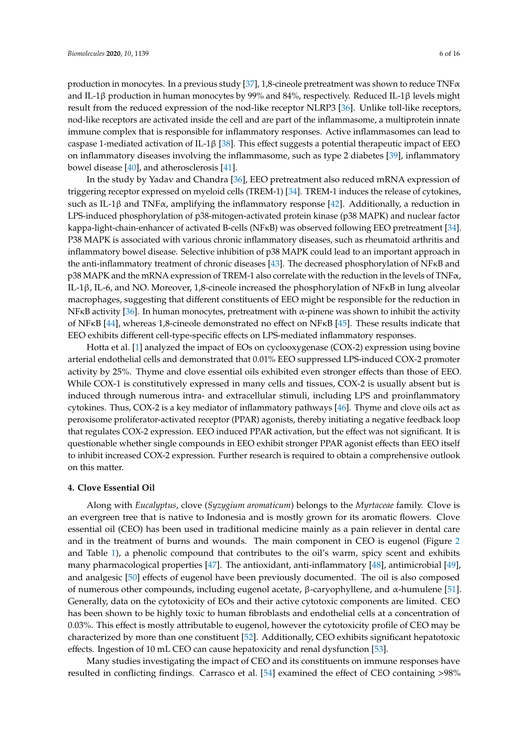production in monocytes. In a previous study [\[37\]](#page-13-9), 1,8-cineole pretreatment was shown to reduce  $TNF\alpha$ and IL-1β production in human monocytes by 99% and 84%, respectively. Reduced IL-1β levels might result from the reduced expression of the nod-like receptor NLRP3 [\[36\]](#page-13-8). Unlike toll-like receptors, nod-like receptors are activated inside the cell and are part of the inflammasome, a multiprotein innate immune complex that is responsible for inflammatory responses. Active inflammasomes can lead to caspase 1-mediated activation of IL-1β [\[38\]](#page-13-10). This effect suggests a potential therapeutic impact of EEO on inflammatory diseases involving the inflammasome, such as type 2 diabetes [\[39\]](#page-13-11), inflammatory bowel disease [\[40\]](#page-13-12), and atherosclerosis [\[41\]](#page-13-13).

In the study by Yadav and Chandra [\[36\]](#page-13-8), EEO pretreatment also reduced mRNA expression of triggering receptor expressed on myeloid cells (TREM-1) [\[34\]](#page-13-6). TREM-1 induces the release of cytokines, such as IL-1 $\beta$  and TNF $\alpha$ , amplifying the inflammatory response [\[42\]](#page-13-14). Additionally, a reduction in LPS-induced phosphorylation of p38-mitogen-activated protein kinase (p38 MAPK) and nuclear factor kappa-light-chain-enhancer of activated B-cells (NFKB) was observed following EEO pretreatment [\[34\]](#page-13-6). P38 MAPK is associated with various chronic inflammatory diseases, such as rheumatoid arthritis and inflammatory bowel disease. Selective inhibition of p38 MAPK could lead to an important approach in the anti-inflammatory treatment of chronic diseases [\[43\]](#page-13-15). The decreased phosphorylation of NFκB and p38 MAPK and the mRNA expression of TREM-1 also correlate with the reduction in the levels of TNF $\alpha$ , IL-1β, IL-6, and NO. Moreover, 1,8-cineole increased the phosphorylation of NFκB in lung alveolar macrophages, suggesting that different constituents of EEO might be responsible for the reduction in NF<sub>K</sub>B activity [\[36\]](#page-13-8). In human monocytes, pretreatment with  $\alpha$ -pinene was shown to inhibit the activity of NFκB [\[44\]](#page-13-16), whereas 1,8-cineole demonstrated no effect on NFκB [\[45\]](#page-13-17). These results indicate that EEO exhibits different cell-type-specific effects on LPS-mediated inflammatory responses.

Hotta et al. [\[1\]](#page-11-0) analyzed the impact of EOs on cyclooxygenase (COX-2) expression using bovine arterial endothelial cells and demonstrated that 0.01% EEO suppressed LPS-induced COX-2 promoter activity by 25%. Thyme and clove essential oils exhibited even stronger effects than those of EEO. While COX-1 is constitutively expressed in many cells and tissues, COX-2 is usually absent but is induced through numerous intra- and extracellular stimuli, including LPS and proinflammatory cytokines. Thus, COX-2 is a key mediator of inflammatory pathways [\[46\]](#page-13-18). Thyme and clove oils act as peroxisome proliferator-activated receptor (PPAR) agonists, thereby initiating a negative feedback loop that regulates COX-2 expression. EEO induced PPAR activation, but the effect was not significant. It is questionable whether single compounds in EEO exhibit stronger PPAR agonist effects than EEO itself to inhibit increased COX-2 expression. Further research is required to obtain a comprehensive outlook on this matter.

#### **4. Clove Essential Oil**

Along with *Eucalyptus*, clove (*Syzygium aromaticum*) belongs to the *Myrtaceae* family. Clove is an evergreen tree that is native to Indonesia and is mostly grown for its aromatic flowers. Clove essential oil (CEO) has been used in traditional medicine mainly as a pain reliever in dental care and in the treatment of burns and wounds. The main component in CEO is eugenol (Figure [2](#page-3-0) and Table [1\)](#page-4-0), a phenolic compound that contributes to the oil's warm, spicy scent and exhibits many pharmacological properties [\[47\]](#page-13-19). The antioxidant, anti-inflammatory [\[48\]](#page-13-20), antimicrobial [\[49\]](#page-13-21), and analgesic [\[50\]](#page-14-0) effects of eugenol have been previously documented. The oil is also composed of numerous other compounds, including eugenol acetate, β-caryophyllene, and α-humulene [\[51\]](#page-14-1). Generally, data on the cytotoxicity of EOs and their active cytotoxic components are limited. CEO has been shown to be highly toxic to human fibroblasts and endothelial cells at a concentration of 0.03%. This effect is mostly attributable to eugenol, however the cytotoxicity profile of CEO may be characterized by more than one constituent [\[52\]](#page-14-2). Additionally, CEO exhibits significant hepatotoxic effects. Ingestion of 10 mL CEO can cause hepatoxicity and renal dysfunction [\[53\]](#page-14-3).

Many studies investigating the impact of CEO and its constituents on immune responses have resulted in conflicting findings. Carrasco et al. [\[54\]](#page-14-4) examined the effect of CEO containing >98%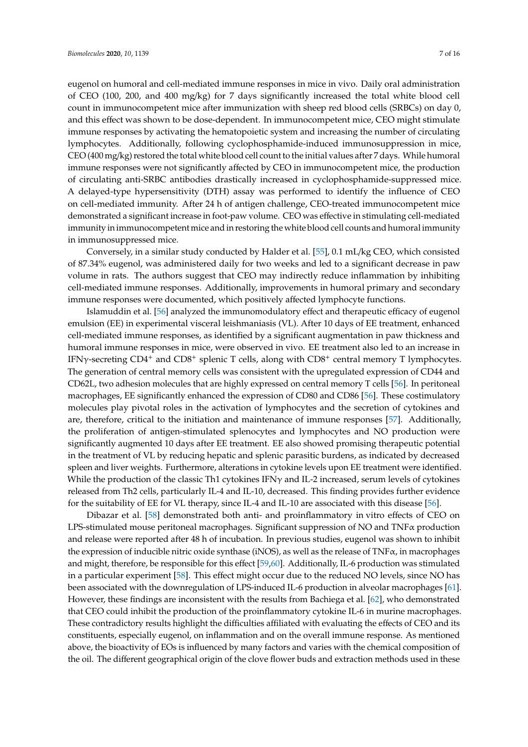eugenol on humoral and cell-mediated immune responses in mice in vivo. Daily oral administration of CEO (100, 200, and 400 mg/kg) for 7 days significantly increased the total white blood cell count in immunocompetent mice after immunization with sheep red blood cells (SRBCs) on day 0, and this effect was shown to be dose-dependent. In immunocompetent mice, CEO might stimulate immune responses by activating the hematopoietic system and increasing the number of circulating lymphocytes. Additionally, following cyclophosphamide-induced immunosuppression in mice, CEO (400 mg/kg) restored the total white blood cell count to the initial values after 7 days. While humoral immune responses were not significantly affected by CEO in immunocompetent mice, the production of circulating anti-SRBC antibodies drastically increased in cyclophosphamide-suppressed mice. A delayed-type hypersensitivity (DTH) assay was performed to identify the influence of CEO on cell-mediated immunity. After 24 h of antigen challenge, CEO-treated immunocompetent mice demonstrated a significant increase in foot-paw volume. CEO was effective in stimulating cell-mediated immunity in immunocompetent mice and in restoring the white blood cell counts and humoral immunity in immunosuppressed mice.

Conversely, in a similar study conducted by Halder et al. [\[55\]](#page-14-5), 0.1 mL/kg CEO, which consisted of 87.34% eugenol, was administered daily for two weeks and led to a significant decrease in paw volume in rats. The authors suggest that CEO may indirectly reduce inflammation by inhibiting cell-mediated immune responses. Additionally, improvements in humoral primary and secondary immune responses were documented, which positively affected lymphocyte functions.

Islamuddin et al. [\[56\]](#page-14-6) analyzed the immunomodulatory effect and therapeutic efficacy of eugenol emulsion (EE) in experimental visceral leishmaniasis (VL). After 10 days of EE treatment, enhanced cell-mediated immune responses, as identified by a significant augmentation in paw thickness and humoral immune responses in mice, were observed in vivo. EE treatment also led to an increase in IFNγ-secreting CD4<sup>+</sup> and CD8<sup>+</sup> splenic T cells, along with CD8<sup>+</sup> central memory T lymphocytes. The generation of central memory cells was consistent with the upregulated expression of CD44 and CD62L, two adhesion molecules that are highly expressed on central memory T cells [\[56\]](#page-14-6). In peritoneal macrophages, EE significantly enhanced the expression of CD80 and CD86 [\[56\]](#page-14-6). These costimulatory molecules play pivotal roles in the activation of lymphocytes and the secretion of cytokines and are, therefore, critical to the initiation and maintenance of immune responses [\[57\]](#page-14-7). Additionally, the proliferation of antigen-stimulated splenocytes and lymphocytes and NO production were significantly augmented 10 days after EE treatment. EE also showed promising therapeutic potential in the treatment of VL by reducing hepatic and splenic parasitic burdens, as indicated by decreased spleen and liver weights. Furthermore, alterations in cytokine levels upon EE treatment were identified. While the production of the classic Th1 cytokines IFN $\gamma$  and IL-2 increased, serum levels of cytokines released from Th2 cells, particularly IL-4 and IL-10, decreased. This finding provides further evidence for the suitability of EE for VL therapy, since IL-4 and IL-10 are associated with this disease [\[56\]](#page-14-6).

Dibazar et al. [\[58\]](#page-14-8) demonstrated both anti- and proinflammatory in vitro effects of CEO on LPS-stimulated mouse peritoneal macrophages. Significant suppression of NO and TNFα production and release were reported after 48 h of incubation. In previous studies, eugenol was shown to inhibit the expression of inducible nitric oxide synthase (iNOS), as well as the release of  $TNF\alpha$ , in macrophages and might, therefore, be responsible for this effect [\[59,](#page-14-9)[60\]](#page-14-10). Additionally, IL-6 production was stimulated in a particular experiment [\[58\]](#page-14-8). This effect might occur due to the reduced NO levels, since NO has been associated with the downregulation of LPS-induced IL-6 production in alveolar macrophages [\[61\]](#page-14-11). However, these findings are inconsistent with the results from Bachiega et al. [\[62\]](#page-14-12), who demonstrated that CEO could inhibit the production of the proinflammatory cytokine IL-6 in murine macrophages. These contradictory results highlight the difficulties affiliated with evaluating the effects of CEO and its constituents, especially eugenol, on inflammation and on the overall immune response. As mentioned above, the bioactivity of EOs is influenced by many factors and varies with the chemical composition of the oil. The different geographical origin of the clove flower buds and extraction methods used in these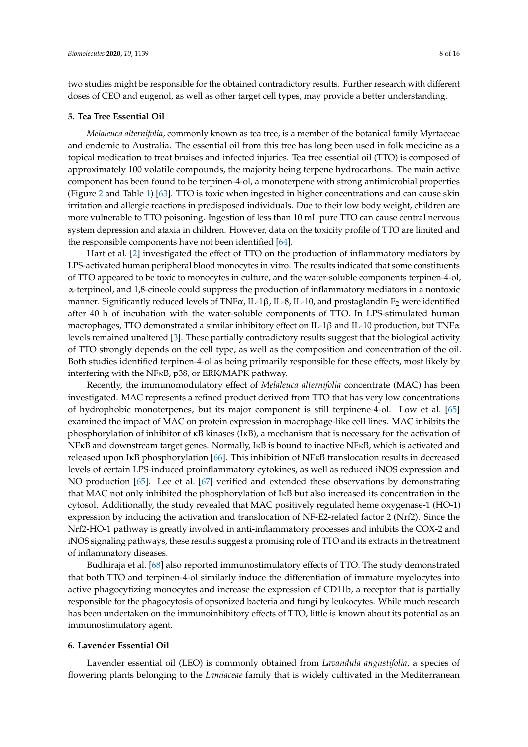two studies might be responsible for the obtained contradictory results. Further research with different doses of CEO and eugenol, as well as other target cell types, may provide a better understanding.

#### **5. Tea Tree Essential Oil**

*Melaleuca alternifolia*, commonly known as tea tree, is a member of the botanical family Myrtaceae and endemic to Australia. The essential oil from this tree has long been used in folk medicine as a topical medication to treat bruises and infected injuries. Tea tree essential oil (TTO) is composed of approximately 100 volatile compounds, the majority being terpene hydrocarbons. The main active component has been found to be terpinen-4-ol, a monoterpene with strong antimicrobial properties (Figure [2](#page-3-0) and Table [1\)](#page-4-0) [\[63\]](#page-14-13). TTO is toxic when ingested in higher concentrations and can cause skin irritation and allergic reactions in predisposed individuals. Due to their low body weight, children are more vulnerable to TTO poisoning. Ingestion of less than 10 mL pure TTO can cause central nervous system depression and ataxia in children. However, data on the toxicity profile of TTO are limited and the responsible components have not been identified [\[64\]](#page-14-14).

Hart et al. [\[2\]](#page-11-1) investigated the effect of TTO on the production of inflammatory mediators by LPS-activated human peripheral blood monocytes in vitro. The results indicated that some constituents of TTO appeared to be toxic to monocytes in culture, and the water-soluble components terpinen-4-ol, α-terpineol, and 1,8-cineole could suppress the production of inflammatory mediators in a nontoxic manner. Significantly reduced levels of TNF $\alpha$ , IL-1 $\beta$ , IL-10, and prostaglandin E<sub>2</sub> were identified after 40 h of incubation with the water-soluble components of TTO. In LPS-stimulated human macrophages, TTO demonstrated a similar inhibitory effect on IL-1 $\beta$  and IL-10 production, but TNF $\alpha$ levels remained unaltered [\[3\]](#page-11-2). These partially contradictory results suggest that the biological activity of TTO strongly depends on the cell type, as well as the composition and concentration of the oil. Both studies identified terpinen-4-ol as being primarily responsible for these effects, most likely by interfering with the NFκB, p38, or ERK/MAPK pathway.

Recently, the immunomodulatory effect of *Melaleuca alternifolia* concentrate (MAC) has been investigated. MAC represents a refined product derived from TTO that has very low concentrations of hydrophobic monoterpenes, but its major component is still terpinene-4-ol. Low et al. [\[65\]](#page-14-15) examined the impact of MAC on protein expression in macrophage-like cell lines. MAC inhibits the phosphorylation of inhibitor of κB kinases (IκB), a mechanism that is necessary for the activation of NFκB and downstream target genes. Normally, IκB is bound to inactive NFκB, which is activated and released upon IκB phosphorylation [\[66\]](#page-14-16). This inhibition of NFκB translocation results in decreased levels of certain LPS-induced proinflammatory cytokines, as well as reduced iNOS expression and NO production [\[65\]](#page-14-15). Lee et al. [\[67\]](#page-14-17) verified and extended these observations by demonstrating that MAC not only inhibited the phosphorylation of IκB but also increased its concentration in the cytosol. Additionally, the study revealed that MAC positively regulated heme oxygenase-1 (HO-1) expression by inducing the activation and translocation of NF-E2-related factor 2 (Nrf2). Since the Nrf2-HO-1 pathway is greatly involved in anti-inflammatory processes and inhibits the COX-2 and iNOS signaling pathways, these results suggest a promising role of TTO and its extracts in the treatment of inflammatory diseases.

Budhiraja et al. [\[68\]](#page-14-18) also reported immunostimulatory effects of TTO. The study demonstrated that both TTO and terpinen-4-ol similarly induce the differentiation of immature myelocytes into active phagocytizing monocytes and increase the expression of CD11b, a receptor that is partially responsible for the phagocytosis of opsonized bacteria and fungi by leukocytes. While much research has been undertaken on the immunoinhibitory effects of TTO, little is known about its potential as an immunostimulatory agent.

## **6. Lavender Essential Oil**

Lavender essential oil (LEO) is commonly obtained from *Lavandula angustifolia*, a species of flowering plants belonging to the *Lamiaceae* family that is widely cultivated in the Mediterranean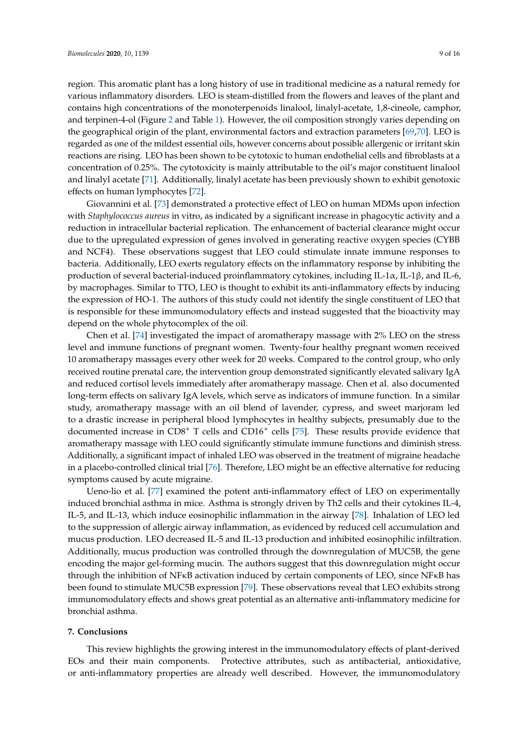region. This aromatic plant has a long history of use in traditional medicine as a natural remedy for various inflammatory disorders. LEO is steam-distilled from the flowers and leaves of the plant and contains high concentrations of the monoterpenoids linalool, linalyl-acetate, 1,8-cineole, camphor, and terpinen-4-ol (Figure [2](#page-3-0) and Table [1\)](#page-4-0). However, the oil composition strongly varies depending on the geographical origin of the plant, environmental factors and extraction parameters [\[69](#page-15-0)[,70\]](#page-15-1). LEO is regarded as one of the mildest essential oils, however concerns about possible allergenic or irritant skin reactions are rising. LEO has been shown to be cytotoxic to human endothelial cells and fibroblasts at a concentration of 0.25%. The cytotoxicity is mainly attributable to the oil's major constituent linalool and linalyl acetate [\[71\]](#page-15-2). Additionally, linalyl acetate has been previously shown to exhibit genotoxic effects on human lymphocytes [\[72\]](#page-15-3).

Giovannini et al. [\[73\]](#page-15-4) demonstrated a protective effect of LEO on human MDMs upon infection with *Staphylococcus aureus* in vitro, as indicated by a significant increase in phagocytic activity and a reduction in intracellular bacterial replication. The enhancement of bacterial clearance might occur due to the upregulated expression of genes involved in generating reactive oxygen species (CYBB and NCF4). These observations suggest that LEO could stimulate innate immune responses to bacteria. Additionally, LEO exerts regulatory effects on the inflammatory response by inhibiting the production of several bacterial-induced proinflammatory cytokines, including IL-1α, IL-1β, and IL-6, by macrophages. Similar to TTO, LEO is thought to exhibit its anti-inflammatory effects by inducing the expression of HO-1. The authors of this study could not identify the single constituent of LEO that is responsible for these immunomodulatory effects and instead suggested that the bioactivity may depend on the whole phytocomplex of the oil.

Chen et al. [\[74\]](#page-15-5) investigated the impact of aromatherapy massage with 2% LEO on the stress level and immune functions of pregnant women. Twenty-four healthy pregnant women received 10 aromatherapy massages every other week for 20 weeks. Compared to the control group, who only received routine prenatal care, the intervention group demonstrated significantly elevated salivary IgA and reduced cortisol levels immediately after aromatherapy massage. Chen et al. also documented long-term effects on salivary IgA levels, which serve as indicators of immune function. In a similar study, aromatherapy massage with an oil blend of lavender, cypress, and sweet marjoram led to a drastic increase in peripheral blood lymphocytes in healthy subjects, presumably due to the documented increase in CD8<sup>+</sup> T cells and CD16<sup>+</sup> cells [\[75\]](#page-15-6). These results provide evidence that aromatherapy massage with LEO could significantly stimulate immune functions and diminish stress. Additionally, a significant impact of inhaled LEO was observed in the treatment of migraine headache in a placebo-controlled clinical trial [\[76\]](#page-15-7). Therefore, LEO might be an effective alternative for reducing symptoms caused by acute migraine.

Ueno-lio et al. [\[77\]](#page-15-8) examined the potent anti-inflammatory effect of LEO on experimentally induced bronchial asthma in mice. Asthma is strongly driven by Th2 cells and their cytokines IL-4, IL-5, and IL-13, which induce eosinophilic inflammation in the airway [\[78\]](#page-15-9). Inhalation of LEO led to the suppression of allergic airway inflammation, as evidenced by reduced cell accumulation and mucus production. LEO decreased IL-5 and IL-13 production and inhibited eosinophilic infiltration. Additionally, mucus production was controlled through the downregulation of MUC5B, the gene encoding the major gel-forming mucin. The authors suggest that this downregulation might occur through the inhibition of NFκB activation induced by certain components of LEO, since NFκB has been found to stimulate MUC5B expression [\[79\]](#page-15-10). These observations reveal that LEO exhibits strong immunomodulatory effects and shows great potential as an alternative anti-inflammatory medicine for bronchial asthma.

#### **7. Conclusions**

This review highlights the growing interest in the immunomodulatory effects of plant-derived EOs and their main components. Protective attributes, such as antibacterial, antioxidative, or anti-inflammatory properties are already well described. However, the immunomodulatory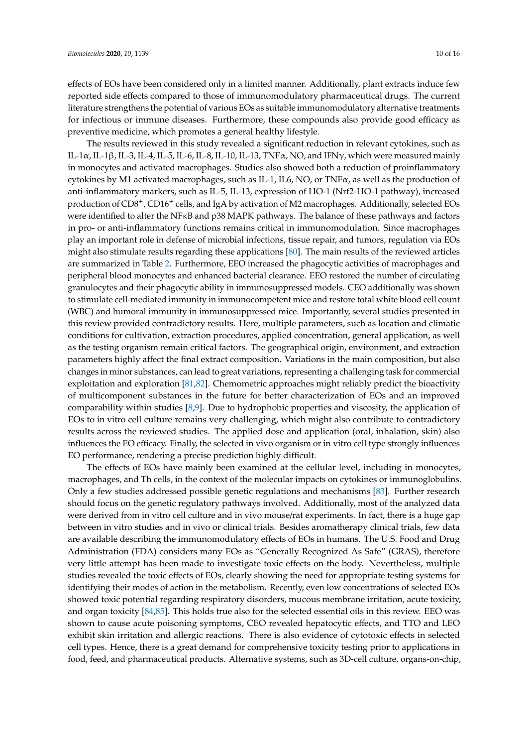effects of EOs have been considered only in a limited manner. Additionally, plant extracts induce few reported side effects compared to those of immunomodulatory pharmaceutical drugs. The current literature strengthens the potential of various EOs as suitable immunomodulatory alternative treatments for infectious or immune diseases. Furthermore, these compounds also provide good efficacy as preventive medicine, which promotes a general healthy lifestyle.

The results reviewed in this study revealed a significant reduction in relevant cytokines, such as IL-1α, IL-1β, IL-3, IL-4, IL-5, IL-6, IL-8, IL-10, IL-13, TNFα, NO, and IFNγ, which were measured mainly in monocytes and activated macrophages. Studies also showed both a reduction of proinflammatory cytokines by M1 activated macrophages, such as IL-1, IL6, NO, or TNF $\alpha$ , as well as the production of anti-inflammatory markers, such as IL-5, IL-13, expression of HO-1 (Nrf2-HO-1 pathway), increased production of CD8+, CD16<sup>+</sup> cells, and IgA by activation of M2 macrophages. Additionally, selected EOs were identified to alter the NF<sub>KB</sub> and p38 MAPK pathways. The balance of these pathways and factors in pro- or anti-inflammatory functions remains critical in immunomodulation. Since macrophages play an important role in defense of microbial infections, tissue repair, and tumors, regulation via EOs might also stimulate results regarding these applications [\[80\]](#page-15-11). The main results of the reviewed articles are summarized in Table [2.](#page-10-0) Furthermore, EEO increased the phagocytic activities of macrophages and peripheral blood monocytes and enhanced bacterial clearance. EEO restored the number of circulating granulocytes and their phagocytic ability in immunosuppressed models. CEO additionally was shown to stimulate cell-mediated immunity in immunocompetent mice and restore total white blood cell count (WBC) and humoral immunity in immunosuppressed mice. Importantly, several studies presented in this review provided contradictory results. Here, multiple parameters, such as location and climatic conditions for cultivation, extraction procedures, applied concentration, general application, as well as the testing organism remain critical factors. The geographical origin, environment, and extraction parameters highly affect the final extract composition. Variations in the main composition, but also changes in minor substances, can lead to great variations, representing a challenging task for commercial exploitation and exploration [\[81,](#page-15-12)[82\]](#page-15-13). Chemometric approaches might reliably predict the bioactivity of multicomponent substances in the future for better characterization of EOs and an improved comparability within studies [\[8,](#page-12-0)[9\]](#page-12-1). Due to hydrophobic properties and viscosity, the application of EOs to in vitro cell culture remains very challenging, which might also contribute to contradictory results across the reviewed studies. The applied dose and application (oral, inhalation, skin) also influences the EO efficacy. Finally, the selected in vivo organism or in vitro cell type strongly influences EO performance, rendering a precise prediction highly difficult.

The effects of EOs have mainly been examined at the cellular level, including in monocytes, macrophages, and Th cells, in the context of the molecular impacts on cytokines or immunoglobulins. Only a few studies addressed possible genetic regulations and mechanisms [\[83\]](#page-15-14). Further research should focus on the genetic regulatory pathways involved. Additionally, most of the analyzed data were derived from in vitro cell culture and in vivo mouse/rat experiments. In fact, there is a huge gap between in vitro studies and in vivo or clinical trials. Besides aromatherapy clinical trials, few data are available describing the immunomodulatory effects of EOs in humans. The U.S. Food and Drug Administration (FDA) considers many EOs as "Generally Recognized As Safe" (GRAS), therefore very little attempt has been made to investigate toxic effects on the body. Nevertheless, multiple studies revealed the toxic effects of EOs, clearly showing the need for appropriate testing systems for identifying their modes of action in the metabolism. Recently, even low concentrations of selected EOs showed toxic potential regarding respiratory disorders, mucous membrane irritation, acute toxicity, and organ toxicity [\[84,](#page-15-15)[85\]](#page-15-16). This holds true also for the selected essential oils in this review. EEO was shown to cause acute poisoning symptoms, CEO revealed hepatocytic effects, and TTO and LEO exhibit skin irritation and allergic reactions. There is also evidence of cytotoxic effects in selected cell types. Hence, there is a great demand for comprehensive toxicity testing prior to applications in food, feed, and pharmaceutical products. Alternative systems, such as 3D-cell culture, organs-on-chip,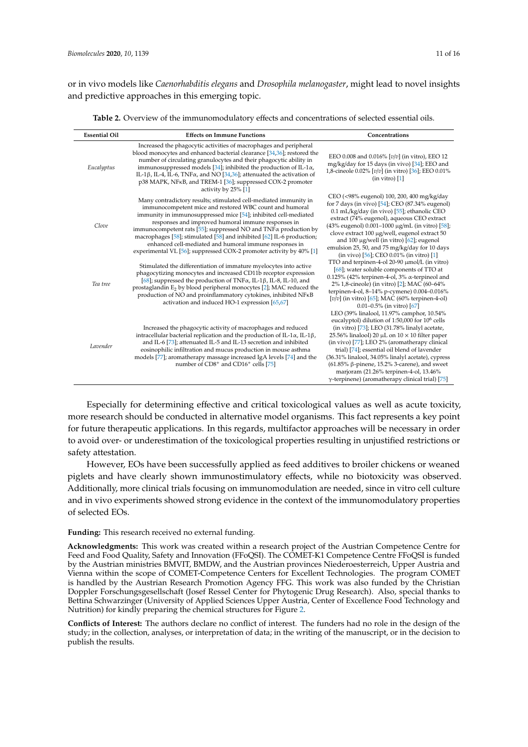or in vivo models like *Caenorhabditis elegans* and *Drosophila melanogaster*, might lead to novel insights and predictive approaches in this emerging topic.

<span id="page-10-0"></span>

| <b>Essential Oil</b> | <b>Effects on Immune Functions</b>                                                                                                                                                                                                                                                                                                                                                                                                                                                                                                       | Concentrations                                                                                                                                                                                                                                                                                                                                                                                                                                                                                     |  |  |
|----------------------|------------------------------------------------------------------------------------------------------------------------------------------------------------------------------------------------------------------------------------------------------------------------------------------------------------------------------------------------------------------------------------------------------------------------------------------------------------------------------------------------------------------------------------------|----------------------------------------------------------------------------------------------------------------------------------------------------------------------------------------------------------------------------------------------------------------------------------------------------------------------------------------------------------------------------------------------------------------------------------------------------------------------------------------------------|--|--|
| Eucalyptus           | Increased the phagocytic activities of macrophages and peripheral<br>blood monocytes and enhanced bacterial clearance [34,36]; restored the<br>number of circulating granulocytes and their phagocytic ability in<br>immunosuppressed models [34]; inhibited the production of IL-1 $\alpha$ ,<br>IL-1 $\beta$ , IL-4, IL-6, TNF $\alpha$ , and NO [34,36]; attenuated the activation of<br>p38 MAPK, NFKB, and TREM-1 [36]; suppressed COX-2 promoter<br>activity by 25% [1]                                                            | EEO 0.008 and 0.016% [v/v] (in vitro), EEO 12<br>mg/kg/day for 15 days (in vivo) [34]; EEO and<br>1,8-cineole 0.02% [v/v] (in vitro) [36]; EEO 0.01%<br>(in vitro) [1]                                                                                                                                                                                                                                                                                                                             |  |  |
| Clove                | Many contradictory results; stimulated cell-mediated immunity in<br>immunocompetent mice and restored WBC count and humoral<br>immunity in immunosuppressed mice [54]; inhibited cell-mediated<br>responses and improved humoral immune responses in<br>immunocompetent rats [55]; suppressed NO and $TNF\alpha$ production by<br>macrophages [58]; stimulated [58] and inhibited [62] IL-6 production;<br>enhanced cell-mediated and humoral immune responses in<br>experimental VL [56]; suppressed COX-2 promoter activity by 40% [1] | CEO (<98% eugenol) 100, 200, 400 mg/kg/day<br>for 7 days (in vivo) $[54]$ ; CEO (87.34% eugenol)<br>0.1 mL/kg/day (in vivo) [55]; ethanolic CEO<br>extract (74% eugenol), aqueous CEO extract<br>(43% eugenol) 0.001-1000 μg/mL (in vitro) [58];<br>clove extract 100 μg/well, eugenol extract 50<br>and 100 $\mu$ g/well (in vitro) [62]; eugenol<br>emulsion 25, 50, and 75 mg/kg/day for 10 days<br>(in vivo) $[56]$ ; CEO 0.01% (in vitro) [1]                                                 |  |  |
| Tea tree             | Stimulated the differentiation of immature myelocytes into active<br>phagocytizing monocytes and increased CD11b receptor expression<br>[68]; suppressed the production of TNF $\alpha$ , IL-1 $\beta$ , IL-8, IL-10, and<br>prostaglandin $E_2$ by blood peripheral monocytes [2]; MAC reduced the<br>production of NO and proinflammatory cytokines, inhibited NFKB<br>activation and induced HO-1 expression [65,67]                                                                                                                  | TTO and terpinen-4-ol 20-90 µmol/L (in vitro)<br>[68]; water soluble components of TTO at<br>0.125% (42% terpinen-4-ol, $3\%$ $\alpha$ -terpineol and<br>2% 1,8-cineole) (in vitro) [2]; MAC (60-64%<br>terpinen-4-ol, 8-14% p-cymene) 0.004-0.016%<br>$[v/v]$ (in vitro) [65]; MAC (60% terpinen-4-ol)<br>0.01-0.5% (in vitro) $[67]$<br>LEO (39% linalool, 11.97% camphor, 10.54%                                                                                                                |  |  |
| Lavender             | Increased the phagocytic activity of macrophages and reduced<br>intracellular bacterial replication and the production of IL-1 $\alpha$ , IL-1 $\beta$ ,<br>and IL-6 [73]; attenuated IL-5 and IL-13 secretion and inhibited<br>eosinophilic infiltration and mucus production in mouse asthma<br>models [77]; aromatherapy massage increased IgA levels [74] and the<br>number of CD8 <sup>+</sup> and CD16 <sup>+</sup> cells [75]                                                                                                     | eucalyptol) dilution of 1:50,000 for 10 <sup>6</sup> cells<br>(in vitro) $[73]$ ; LEO (31.78% linalyl acetate,<br>25.56% linalool) 20 $\mu$ L on 10 $\times$ 10 filter paper<br>(in vivo) [77]; LEO 2% (aromatherapy clinical<br>trial) [74]; essential oil blend of lavender<br>(36.31% linalool, 34.05% linalyl acetate), cypress<br>$(61.85\%$ $\beta$ -pinene, 15.2% 3-carene), and sweet<br>marjoram (21.26% terpinen-4-ol, 13.46%<br>$\gamma$ -terpinene) (aromatherapy clinical trial) [75] |  |  |

Especially for determining effective and critical toxicological values as well as acute toxicity, more research should be conducted in alternative model organisms. This fact represents a key point for future therapeutic applications. In this regards, multifactor approaches will be necessary in order to avoid over- or underestimation of the toxicological properties resulting in unjustified restrictions or safety attestation.

However, EOs have been successfully applied as feed additives to broiler chickens or weaned piglets and have clearly shown immunostimulatory effects, while no biotoxicity was observed. Additionally, more clinical trials focusing on immunomodulation are needed, since in vitro cell culture and in vivo experiments showed strong evidence in the context of the immunomodulatory properties of selected EOs.

#### **Funding:** This research received no external funding.

**Acknowledgments:** This work was created within a research project of the Austrian Competence Centre for Feed and Food Quality, Safety and Innovation (FFoQSI). The COMET-K1 Competence Centre FFoQSI is funded by the Austrian ministries BMVIT, BMDW, and the Austrian provinces Niederoesterreich, Upper Austria and Vienna within the scope of COMET-Competence Centers for Excellent Technologies. The program COMET is handled by the Austrian Research Promotion Agency FFG. This work was also funded by the Christian Doppler Forschungsgesellschaft (Josef Ressel Center for Phytogenic Drug Research). Also, special thanks to Bettina Schwarzinger (University of Applied Sciences Upper Austria, Center of Excellence Food Technology and Nutrition) for kindly preparing the chemical structures for Figure [2.](#page-3-0)

**Conflicts of Interest:** The authors declare no conflict of interest. The funders had no role in the design of the study; in the collection, analyses, or interpretation of data; in the writing of the manuscript, or in the decision to publish the results.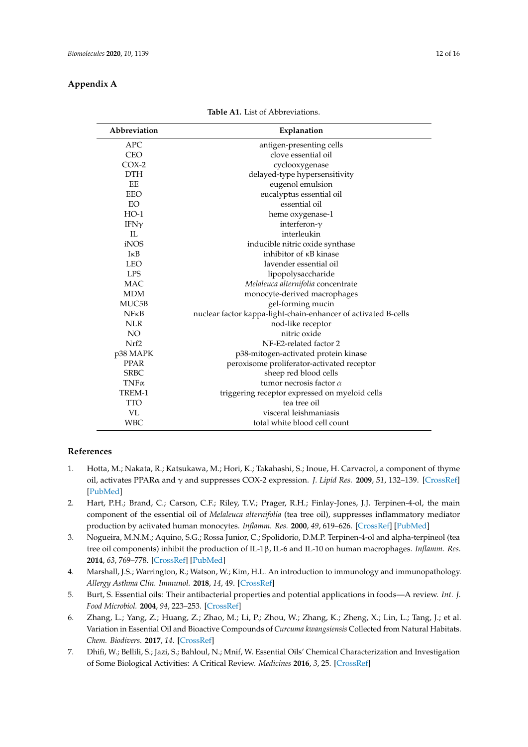## <span id="page-11-7"></span>**Appendix A**

| Abbreviation     | Explanation                                                    |  |  |  |
|------------------|----------------------------------------------------------------|--|--|--|
| <b>APC</b>       | antigen-presenting cells                                       |  |  |  |
| <b>CEO</b>       | clove essential oil                                            |  |  |  |
| $COX-2$          | cyclooxygenase                                                 |  |  |  |
| <b>DTH</b>       | delayed-type hypersensitivity                                  |  |  |  |
| <b>EE</b>        | eugenol emulsion                                               |  |  |  |
| EEO              | eucalyptus essential oil                                       |  |  |  |
| EO               | essential oil                                                  |  |  |  |
| $HO-1$           | heme oxygenase-1                                               |  |  |  |
| IFN $\gamma$     | interferon- $\gamma$                                           |  |  |  |
| $\Pi$ .          | interleukin                                                    |  |  |  |
| iNOS             | inducible nitric oxide synthase                                |  |  |  |
| $I \kappa B$     | inhibitor of <b>KB</b> kinase                                  |  |  |  |
| <b>LEO</b>       | lavender essential oil                                         |  |  |  |
| <b>LPS</b>       | lipopolysaccharide                                             |  |  |  |
| <b>MAC</b>       | Melaleuca alternifolia concentrate                             |  |  |  |
| <b>MDM</b>       | monocyte-derived macrophages                                   |  |  |  |
| MUC5B            | gel-forming mucin                                              |  |  |  |
| $N$ F $\kappa$ B | nuclear factor kappa-light-chain-enhancer of activated B-cells |  |  |  |
| <b>NLR</b>       | nod-like receptor                                              |  |  |  |
| NO <sub>1</sub>  | nitric oxide                                                   |  |  |  |
| Nrf2             | NF-E2-related factor 2                                         |  |  |  |
| p38 MAPK         | p38-mitogen-activated protein kinase                           |  |  |  |
| PPAR             | peroxisome proliferator-activated receptor                     |  |  |  |
| <b>SRBC</b>      | sheep red blood cells                                          |  |  |  |
| $TNF\alpha$      | tumor necrosis factor $\alpha$                                 |  |  |  |
| TREM-1           | triggering receptor expressed on myeloid cells                 |  |  |  |
| <b>TTO</b>       | tea tree oil                                                   |  |  |  |
| VL               | visceral leishmaniasis                                         |  |  |  |
| <b>WBC</b>       | total white blood cell count                                   |  |  |  |

**Table A1.** List of Abbreviations.

## **References**

- <span id="page-11-0"></span>1. Hotta, M.; Nakata, R.; Katsukawa, M.; Hori, K.; Takahashi, S.; Inoue, H. Carvacrol, a component of thyme oil, activates PPARα and γ and suppresses COX-2 expression. *J. Lipid Res.* **2009**, *51*, 132–139. [\[CrossRef\]](http://dx.doi.org/10.1194/jlr.M900255-JLR200) [\[PubMed\]](http://www.ncbi.nlm.nih.gov/pubmed/19578162)
- <span id="page-11-1"></span>2. Hart, P.H.; Brand, C.; Carson, C.F.; Riley, T.V.; Prager, R.H.; Finlay-Jones, J.J. Terpinen-4-ol, the main component of the essential oil of *Melaleuca alternifolia* (tea tree oil), suppresses inflammatory mediator production by activated human monocytes. *Inflamm. Res.* **2000**, *49*, 619–626. [\[CrossRef\]](http://dx.doi.org/10.1007/s000110050639) [\[PubMed\]](http://www.ncbi.nlm.nih.gov/pubmed/11131302)
- <span id="page-11-2"></span>3. Nogueira, M.N.M.; Aquino, S.G.; Rossa Junior, C.; Spolidorio, D.M.P. Terpinen-4-ol and alpha-terpineol (tea tree oil components) inhibit the production of IL-1β, IL-6 and IL-10 on human macrophages. *Inflamm. Res.* **2014**, *63*, 769–778. [\[CrossRef\]](http://dx.doi.org/10.1007/s00011-014-0749-x) [\[PubMed\]](http://www.ncbi.nlm.nih.gov/pubmed/24947163)
- <span id="page-11-3"></span>4. Marshall, J.S.; Warrington, R.; Watson, W.; Kim, H.L. An introduction to immunology and immunopathology. *Allergy Asthma Clin. Immunol.* **2018**, *14*, 49. [\[CrossRef\]](http://dx.doi.org/10.1186/s13223-018-0278-1)
- <span id="page-11-4"></span>5. Burt, S. Essential oils: Their antibacterial properties and potential applications in foods—A review. *Int. J. Food Microbiol.* **2004**, *94*, 223–253. [\[CrossRef\]](http://dx.doi.org/10.1016/j.ijfoodmicro.2004.03.022)
- <span id="page-11-5"></span>6. Zhang, L.; Yang, Z.; Huang, Z.; Zhao, M.; Li, P.; Zhou, W.; Zhang, K.; Zheng, X.; Lin, L.; Tang, J.; et al. Variation in Essential Oil and Bioactive Compounds of *Curcuma kwangsiensis* Collected from Natural Habitats. *Chem. Biodivers.* **2017**, *14*. [\[CrossRef\]](http://dx.doi.org/10.1002/cbdv.201700020)
- <span id="page-11-6"></span>7. Dhifi, W.; Bellili, S.; Jazi, S.; Bahloul, N.; Mnif, W. Essential Oils' Chemical Characterization and Investigation of Some Biological Activities: A Critical Review. *Medicines* **2016**, *3*, 25. [\[CrossRef\]](http://dx.doi.org/10.3390/medicines3040025)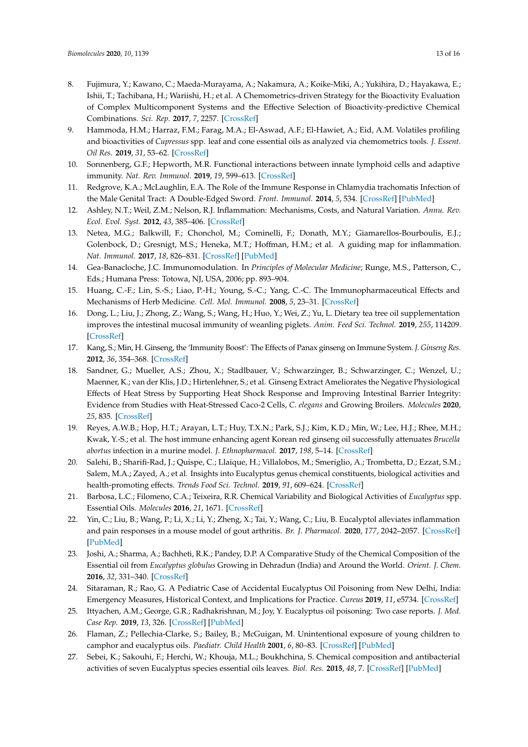- <span id="page-12-0"></span>8. Fujimura, Y.; Kawano, C.; Maeda-Murayama, A.; Nakamura, A.; Koike-Miki, A.; Yukihira, D.; Hayakawa, E.; Ishii, T.; Tachibana, H.; Wariishi, H.; et al. A Chemometrics-driven Strategy for the Bioactivity Evaluation of Complex Multicomponent Systems and the Effective Selection of Bioactivity-predictive Chemical Combinations. *Sci. Rep.* **2017**, *7*, 2257. [\[CrossRef\]](http://dx.doi.org/10.1038/s41598-017-02499-1)
- <span id="page-12-1"></span>9. Hammoda, H.M.; Harraz, F.M.; Farag, M.A.; El-Aswad, A.F.; El-Hawiet, A.; Eid, A.M. Volatiles profiling and bioactivities of *Cupressus* spp. leaf and cone essential oils as analyzed via chemometrics tools. *J. Essent. Oil Res.* **2019**, *31*, 53–62. [\[CrossRef\]](http://dx.doi.org/10.1080/10412905.2018.1496857)
- <span id="page-12-2"></span>10. Sonnenberg, G.F.; Hepworth, M.R. Functional interactions between innate lymphoid cells and adaptive immunity. *Nat. Rev. Immunol.* **2019**, *19*, 599–613. [\[CrossRef\]](http://dx.doi.org/10.1038/s41577-019-0194-8)
- <span id="page-12-3"></span>11. Redgrove, K.A.; McLaughlin, E.A. The Role of the Immune Response in Chlamydia trachomatis Infection of the Male Genital Tract: A Double-Edged Sword. *Front. Immunol.* **2014**, *5*, 534. [\[CrossRef\]](http://dx.doi.org/10.3389/fimmu.2014.00534) [\[PubMed\]](http://www.ncbi.nlm.nih.gov/pubmed/25386180)
- <span id="page-12-4"></span>12. Ashley, N.T.; Weil, Z.M.; Nelson, R.J. Inflammation: Mechanisms, Costs, and Natural Variation. *Annu. Rev. Ecol. Evol. Syst.* **2012**, *43*, 385–406. [\[CrossRef\]](http://dx.doi.org/10.1146/annurev-ecolsys-040212-092530)
- <span id="page-12-5"></span>13. Netea, M.G.; Balkwill, F.; Chonchol, M.; Cominelli, F.; Donath, M.Y.; Giamarellos-Bourboulis, E.J.; Golenbock, D.; Gresnigt, M.S.; Heneka, M.T.; Hoffman, H.M.; et al. A guiding map for inflammation. *Nat. Immunol.* **2017**, *18*, 826–831. [\[CrossRef\]](http://dx.doi.org/10.1038/ni.3790) [\[PubMed\]](http://www.ncbi.nlm.nih.gov/pubmed/28722720)
- <span id="page-12-6"></span>14. Gea-Banacloche, J.C. Immunomodulation. In *Principles of Molecular Medicine*; Runge, M.S., Patterson, C., Eds.; Humana Press: Totowa, NJ, USA, 2006; pp. 893–904.
- <span id="page-12-7"></span>15. Huang, C.-F.; Lin, S.-S.; Liao, P.-H.; Young, S.-C.; Yang, C.-C. The Immunopharmaceutical Effects and Mechanisms of Herb Medicine. *Cell. Mol. Immunol.* **2008**, *5*, 23–31. [\[CrossRef\]](http://dx.doi.org/10.1038/cmi.2008.3)
- <span id="page-12-8"></span>16. Dong, L.; Liu, J.; Zhong, Z.; Wang, S.; Wang, H.; Huo, Y.; Wei, Z.; Yu, L. Dietary tea tree oil supplementation improves the intestinal mucosal immunity of weanling piglets. *Anim. Feed Sci. Technol.* **2019**, *255*, 114209. [\[CrossRef\]](http://dx.doi.org/10.1016/j.anifeedsci.2019.114209)
- <span id="page-12-9"></span>17. Kang, S.; Min, H. Ginseng, the 'Immunity Boost': The Effects of Panax ginseng on Immune System. *J. Ginseng Res.* **2012**, *36*, 354–368. [\[CrossRef\]](http://dx.doi.org/10.5142/jgr.2012.36.4.354)
- 18. Sandner, G.; Mueller, A.S.; Zhou, X.; Stadlbauer, V.; Schwarzinger, B.; Schwarzinger, C.; Wenzel, U.; Maenner, K.; van der Klis, J.D.; Hirtenlehner, S.; et al. Ginseng Extract Ameliorates the Negative Physiological Effects of Heat Stress by Supporting Heat Shock Response and Improving Intestinal Barrier Integrity: Evidence from Studies with Heat-Stressed Caco-2 Cells, *C. elegans* and Growing Broilers. *Molecules* **2020**, *25*, 835. [\[CrossRef\]](http://dx.doi.org/10.3390/molecules25040835)
- <span id="page-12-10"></span>19. Reyes, A.W.B.; Hop, H.T.; Arayan, L.T.; Huy, T.X.N.; Park, S.J.; Kim, K.D.; Min, W.; Lee, H.J.; Rhee, M.H.; Kwak, Y.-S.; et al. The host immune enhancing agent Korean red ginseng oil successfully attenuates *Brucella abortus* infection in a murine model. *J. Ethnopharmacol.* **2017**, *198*, 5–14. [\[CrossRef\]](http://dx.doi.org/10.1016/j.jep.2016.12.026)
- <span id="page-12-11"></span>20. Salehi, B.; Sharifi-Rad, J.; Quispe, C.; Llaique, H.; Villalobos, M.; Smeriglio, A.; Trombetta, D.; Ezzat, S.M.; Salem, M.A.; Zayed, A.; et al. Insights into Eucalyptus genus chemical constituents, biological activities and health-promoting effects. *Trends Food Sci. Technol.* **2019**, *91*, 609–624. [\[CrossRef\]](http://dx.doi.org/10.1016/j.tifs.2019.08.003)
- <span id="page-12-12"></span>21. Barbosa, L.C.; Filomeno, C.A.; Teixeira, R.R. Chemical Variability and Biological Activities of *Eucalyptus* spp. Essential Oils. *Molecules* **2016**, *21*, 1671. [\[CrossRef\]](http://dx.doi.org/10.3390/molecules21121671)
- <span id="page-12-13"></span>22. Yin, C.; Liu, B.; Wang, P.; Li, X.; Li, Y.; Zheng, X.; Tai, Y.; Wang, C.; Liu, B. Eucalyptol alleviates inflammation and pain responses in a mouse model of gout arthritis. *Br. J. Pharmacol.* **2020**, *177*, 2042–2057. [\[CrossRef\]](http://dx.doi.org/10.1111/bph.14967) [\[PubMed\]](http://www.ncbi.nlm.nih.gov/pubmed/31883118)
- <span id="page-12-14"></span>23. Joshi, A.; Sharma, A.; Bachheti, R.K.; Pandey, D.P. A Comparative Study of the Chemical Composition of the Essential oil from *Eucalyptus globulus* Growing in Dehradun (India) and Around the World. *Orient. J. Chem.* **2016**, *32*, 331–340. [\[CrossRef\]](http://dx.doi.org/10.13005/ojc/320137)
- <span id="page-12-15"></span>24. Sitaraman, R.; Rao, G. A Pediatric Case of Accidental Eucalyptus Oil Poisoning from New Delhi, India: Emergency Measures, Historical Context, and Implications for Practice. *Cureus* **2019**, *11*, e5734. [\[CrossRef\]](http://dx.doi.org/10.7759/cureus.5734)
- 25. Ittyachen, A.M.; George, G.R.; Radhakrishnan, M.; Joy, Y. Eucalyptus oil poisoning: Two case reports. *J. Med. Case Rep.* **2019**, *13*, 326. [\[CrossRef\]](http://dx.doi.org/10.1186/s13256-019-2260-z) [\[PubMed\]](http://www.ncbi.nlm.nih.gov/pubmed/31685016)
- <span id="page-12-16"></span>26. Flaman, Z.; Pellechia-Clarke, S.; Bailey, B.; McGuigan, M. Unintentional exposure of young children to camphor and eucalyptus oils. *Paediatr. Child Health* **2001**, *6*, 80–83. [\[CrossRef\]](http://dx.doi.org/10.1093/pch/6.2.80) [\[PubMed\]](http://www.ncbi.nlm.nih.gov/pubmed/20084213)
- <span id="page-12-17"></span>27. Sebei, K.; Sakouhi, F.; Herchi, W.; Khouja, M.L.; Boukhchina, S. Chemical composition and antibacterial activities of seven Eucalyptus species essential oils leaves. *Biol. Res.* **2015**, *48*, 7. [\[CrossRef\]](http://dx.doi.org/10.1186/0717-6287-48-7) [\[PubMed\]](http://www.ncbi.nlm.nih.gov/pubmed/25654423)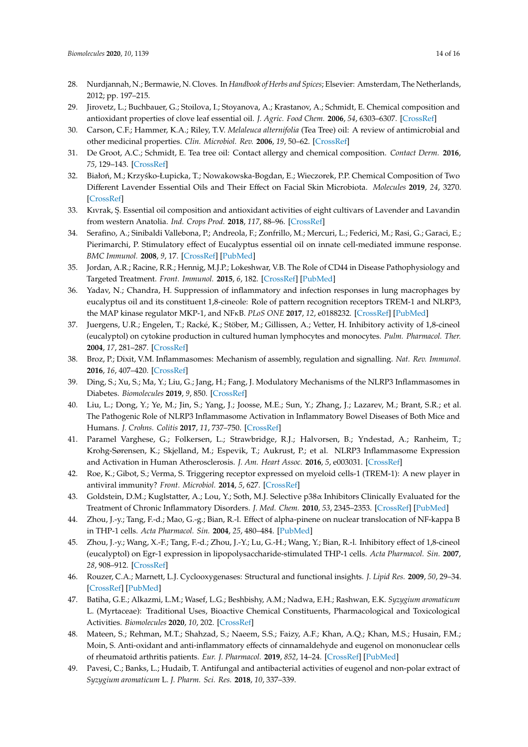- <span id="page-13-0"></span>28. Nurdjannah, N.; Bermawie, N. Cloves. In *Handbook of Herbs and Spices*; Elsevier: Amsterdam, The Netherlands, 2012; pp. 197–215.
- <span id="page-13-1"></span>29. Jirovetz, L.; Buchbauer, G.; Stoilova, I.; Stoyanova, A.; Krastanov, A.; Schmidt, E. Chemical composition and antioxidant properties of clove leaf essential oil. *J. Agric. Food Chem.* **2006**, *54*, 6303–6307. [\[CrossRef\]](http://dx.doi.org/10.1021/jf060608c)
- <span id="page-13-2"></span>30. Carson, C.F.; Hammer, K.A.; Riley, T.V. *Melaleuca alternifolia* (Tea Tree) oil: A review of antimicrobial and other medicinal properties. *Clin. Microbiol. Rev.* **2006**, *19*, 50–62. [\[CrossRef\]](http://dx.doi.org/10.1128/CMR.19.1.50-62.2006)
- <span id="page-13-3"></span>31. De Groot, A.C.; Schmidt, E. Tea tree oil: Contact allergy and chemical composition. *Contact Derm.* **2016**, *75*, 129–143. [\[CrossRef\]](http://dx.doi.org/10.1111/cod.12591)
- <span id="page-13-4"></span>32. Białoń, M.; Krzyśko-Łupicka, T.; Nowakowska-Bogdan, E.; Wieczorek, P.P. Chemical Composition of Two Different Lavender Essential Oils and Their Effect on Facial Skin Microbiota. *Molecules* **2019**, *24*, 3270. [\[CrossRef\]](http://dx.doi.org/10.3390/molecules24183270)
- <span id="page-13-5"></span>33. Kıvrak, Ş. Essential oil composition and antioxidant activities of eight cultivars of Lavender and Lavandin from western Anatolia. *Ind. Crops Prod.* **2018**, *117*, 88–96. [\[CrossRef\]](http://dx.doi.org/10.1016/j.indcrop.2018.02.089)
- <span id="page-13-6"></span>34. Serafino, A.; Sinibaldi Vallebona, P.; Andreola, F.; Zonfrillo, M.; Mercuri, L.; Federici, M.; Rasi, G.; Garaci, E.; Pierimarchi, P. Stimulatory effect of Eucalyptus essential oil on innate cell-mediated immune response. *BMC Immunol.* **2008**, *9*, 17. [\[CrossRef\]](http://dx.doi.org/10.1186/1471-2172-9-17) [\[PubMed\]](http://www.ncbi.nlm.nih.gov/pubmed/18423004)
- <span id="page-13-7"></span>35. Jordan, A.R.; Racine, R.R.; Hennig, M.J.P.; Lokeshwar, V.B. The Role of CD44 in Disease Pathophysiology and Targeted Treatment. *Front. Immunol.* **2015**, *6*, 182. [\[CrossRef\]](http://dx.doi.org/10.3389/fimmu.2015.00182) [\[PubMed\]](http://www.ncbi.nlm.nih.gov/pubmed/25954275)
- <span id="page-13-8"></span>36. Yadav, N.; Chandra, H. Suppression of inflammatory and infection responses in lung macrophages by eucalyptus oil and its constituent 1,8-cineole: Role of pattern recognition receptors TREM-1 and NLRP3, the MAP kinase regulator MKP-1, and NFκB. *PLoS ONE* **2017**, *12*, e0188232. [\[CrossRef\]](http://dx.doi.org/10.1371/journal.pone.0188232) [\[PubMed\]](http://www.ncbi.nlm.nih.gov/pubmed/29141025)
- <span id="page-13-9"></span>37. Juergens, U.R.; Engelen, T.; Racké, K.; Stöber, M.; Gillissen, A.; Vetter, H. Inhibitory activity of 1,8-cineol (eucalyptol) on cytokine production in cultured human lymphocytes and monocytes. *Pulm. Pharmacol. Ther.* **2004**, *17*, 281–287. [\[CrossRef\]](http://dx.doi.org/10.1016/j.pupt.2004.06.002)
- <span id="page-13-10"></span>38. Broz, P.; Dixit, V.M. Inflammasomes: Mechanism of assembly, regulation and signalling. *Nat. Rev. Immunol.* **2016**, *16*, 407–420. [\[CrossRef\]](http://dx.doi.org/10.1038/nri.2016.58)
- <span id="page-13-11"></span>39. Ding, S.; Xu, S.; Ma, Y.; Liu, G.; Jang, H.; Fang, J. Modulatory Mechanisms of the NLRP3 Inflammasomes in Diabetes. *Biomolecules* **2019**, *9*, 850. [\[CrossRef\]](http://dx.doi.org/10.3390/biom9120850)
- <span id="page-13-12"></span>40. Liu, L.; Dong, Y.; Ye, M.; Jin, S.; Yang, J.; Joosse, M.E.; Sun, Y.; Zhang, J.; Lazarev, M.; Brant, S.R.; et al. The Pathogenic Role of NLRP3 Inflammasome Activation in Inflammatory Bowel Diseases of Both Mice and Humans. *J. Crohns. Colitis* **2017**, *11*, 737–750. [\[CrossRef\]](http://dx.doi.org/10.1093/ecco-jcc/jjw219)
- <span id="page-13-13"></span>41. Paramel Varghese, G.; Folkersen, L.; Strawbridge, R.J.; Halvorsen, B.; Yndestad, A.; Ranheim, T.; Krohg-Sørensen, K.; Skjelland, M.; Espevik, T.; Aukrust, P.; et al. NLRP3 Inflammasome Expression and Activation in Human Atherosclerosis. *J. Am. Heart Assoc.* **2016**, *5*, e003031. [\[CrossRef\]](http://dx.doi.org/10.1161/JAHA.115.003031)
- <span id="page-13-14"></span>42. Roe, K.; Gibot, S.; Verma, S. Triggering receptor expressed on myeloid cells-1 (TREM-1): A new player in antiviral immunity? *Front. Microbiol.* **2014**, *5*, 627. [\[CrossRef\]](http://dx.doi.org/10.3389/fmicb.2014.00627)
- <span id="page-13-15"></span>43. Goldstein, D.M.; Kuglstatter, A.; Lou, Y.; Soth, M.J. Selective p38α Inhibitors Clinically Evaluated for the Treatment of Chronic Inflammatory Disorders. *J. Med. Chem.* **2010**, *53*, 2345–2353. [\[CrossRef\]](http://dx.doi.org/10.1021/jm9012906) [\[PubMed\]](http://www.ncbi.nlm.nih.gov/pubmed/19950901)
- <span id="page-13-16"></span>44. Zhou, J.-y.; Tang, F.-d.; Mao, G.-g.; Bian, R.-l. Effect of alpha-pinene on nuclear translocation of NF-kappa B in THP-1 cells. *Acta Pharmacol. Sin.* **2004**, *25*, 480–484. [\[PubMed\]](http://www.ncbi.nlm.nih.gov/pubmed/15066217)
- <span id="page-13-17"></span>45. Zhou, J.-y.; Wang, X.-F.; Tang, F.-d.; Zhou, J.-Y.; Lu, G.-H.; Wang, Y.; Bian, R.-l. Inhibitory effect of 1,8-cineol (eucalyptol) on Egr-1 expression in lipopolysaccharide-stimulated THP-1 cells. *Acta Pharmacol. Sin.* **2007**, *28*, 908–912. [\[CrossRef\]](http://dx.doi.org/10.1111/j.1745-7254.2007.00555.x)
- <span id="page-13-18"></span>46. Rouzer, C.A.; Marnett, L.J. Cyclooxygenases: Structural and functional insights. *J. Lipid Res.* **2009**, *50*, 29–34. [\[CrossRef\]](http://dx.doi.org/10.1194/jlr.R800042-JLR200) [\[PubMed\]](http://www.ncbi.nlm.nih.gov/pubmed/18952571)
- <span id="page-13-19"></span>47. Batiha, G.E.; Alkazmi, L.M.; Wasef, L.G.; Beshbishy, A.M.; Nadwa, E.H.; Rashwan, E.K. *Syzygium aromaticum* L. (Myrtaceae): Traditional Uses, Bioactive Chemical Constituents, Pharmacological and Toxicological Activities. *Biomolecules* **2020**, *10*, 202. [\[CrossRef\]](http://dx.doi.org/10.3390/biom10020202)
- <span id="page-13-20"></span>48. Mateen, S.; Rehman, M.T.; Shahzad, S.; Naeem, S.S.; Faizy, A.F.; Khan, A.Q.; Khan, M.S.; Husain, F.M.; Moin, S. Anti-oxidant and anti-inflammatory effects of cinnamaldehyde and eugenol on mononuclear cells of rheumatoid arthritis patients. *Eur. J. Pharmacol.* **2019**, *852*, 14–24. [\[CrossRef\]](http://dx.doi.org/10.1016/j.ejphar.2019.02.031) [\[PubMed\]](http://www.ncbi.nlm.nih.gov/pubmed/30796902)
- <span id="page-13-21"></span>49. Pavesi, C.; Banks, L.; Hudaib, T. Antifungal and antibacterial activities of eugenol and non-polar extract of *Syzygium aromaticum* L. *J. Pharm. Sci. Res.* **2018**, *10*, 337–339.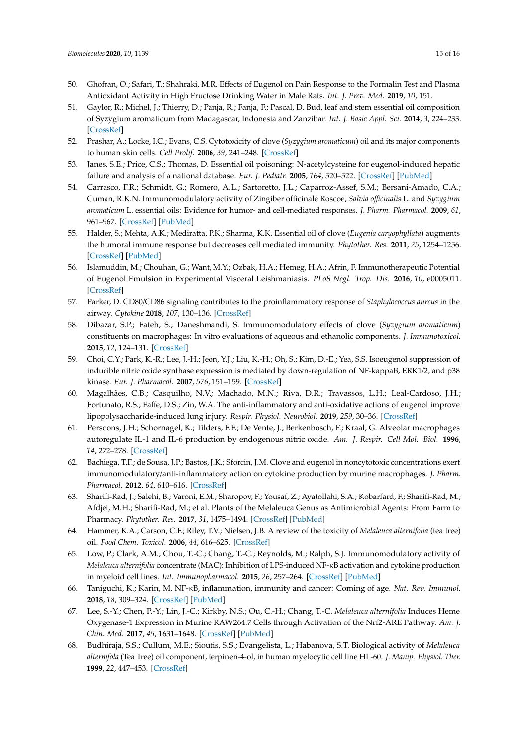- <span id="page-14-0"></span>50. Ghofran, O.; Safari, T.; Shahraki, M.R. Effects of Eugenol on Pain Response to the Formalin Test and Plasma Antioxidant Activity in High Fructose Drinking Water in Male Rats. *Int. J. Prev. Med.* **2019**, *10*, 151.
- <span id="page-14-1"></span>51. Gaylor, R.; Michel, J.; Thierry, D.; Panja, R.; Fanja, F.; Pascal, D. Bud, leaf and stem essential oil composition of Syzygium aromaticum from Madagascar, Indonesia and Zanzibar. *Int. J. Basic Appl. Sci.* **2014**, *3*, 224–233. [\[CrossRef\]](http://dx.doi.org/10.14419/ijbas.v3i3.2473)
- <span id="page-14-2"></span>52. Prashar, A.; Locke, I.C.; Evans, C.S. Cytotoxicity of clove (*Syzygium aromaticum*) oil and its major components to human skin cells. *Cell Prolif.* **2006**, *39*, 241–248. [\[CrossRef\]](http://dx.doi.org/10.1111/j.1365-2184.2006.00384.x)
- <span id="page-14-3"></span>53. Janes, S.E.; Price, C.S.; Thomas, D. Essential oil poisoning: N-acetylcysteine for eugenol-induced hepatic failure and analysis of a national database. *Eur. J. Pediatr.* **2005**, *164*, 520–522. [\[CrossRef\]](http://dx.doi.org/10.1007/s00431-005-1692-1) [\[PubMed\]](http://www.ncbi.nlm.nih.gov/pubmed/15895251)
- <span id="page-14-4"></span>54. Carrasco, F.R.; Schmidt, G.; Romero, A.L.; Sartoretto, J.L.; Caparroz-Assef, S.M.; Bersani-Amado, C.A.; Cuman, R.K.N. Immunomodulatory activity of Zingiber officinale Roscoe, *Salvia o*ffi*cinalis* L. and *Syzygium aromaticum* L. essential oils: Evidence for humor- and cell-mediated responses. *J. Pharm. Pharmacol.* **2009**, *61*, 961–967. [\[CrossRef\]](http://dx.doi.org/10.1211/jpp.61.07.0017) [\[PubMed\]](http://www.ncbi.nlm.nih.gov/pubmed/19589240)
- <span id="page-14-5"></span>55. Halder, S.; Mehta, A.K.; Mediratta, P.K.; Sharma, K.K. Essential oil of clove (*Eugenia caryophyllata*) augments the humoral immune response but decreases cell mediated immunity. *Phytother. Res.* **2011**, *25*, 1254–1256. [\[CrossRef\]](http://dx.doi.org/10.1002/ptr.3412) [\[PubMed\]](http://www.ncbi.nlm.nih.gov/pubmed/21796701)
- <span id="page-14-6"></span>56. Islamuddin, M.; Chouhan, G.; Want, M.Y.; Ozbak, H.A.; Hemeg, H.A.; Afrin, F. Immunotherapeutic Potential of Eugenol Emulsion in Experimental Visceral Leishmaniasis. *PLoS Negl. Trop. Dis.* **2016**, *10*, e0005011. [\[CrossRef\]](http://dx.doi.org/10.1371/journal.pntd.0005011)
- <span id="page-14-7"></span>57. Parker, D. CD80/CD86 signaling contributes to the proinflammatory response of *Staphylococcus aureus* in the airway. *Cytokine* **2018**, *107*, 130–136. [\[CrossRef\]](http://dx.doi.org/10.1016/j.cyto.2018.01.016)
- <span id="page-14-8"></span>58. Dibazar, S.P.; Fateh, S.; Daneshmandi, S. Immunomodulatory effects of clove (*Syzygium aromaticum*) constituents on macrophages: In vitro evaluations of aqueous and ethanolic components. *J. Immunotoxicol.* **2015**, *12*, 124–131. [\[CrossRef\]](http://dx.doi.org/10.3109/1547691X.2014.912698)
- <span id="page-14-9"></span>59. Choi, C.Y.; Park, K.-R.; Lee, J.-H.; Jeon, Y.J.; Liu, K.-H.; Oh, S.; Kim, D.-E.; Yea, S.S. Isoeugenol suppression of inducible nitric oxide synthase expression is mediated by down-regulation of NF-kappaB, ERK1/2, and p38 kinase. *Eur. J. Pharmacol.* **2007**, *576*, 151–159. [\[CrossRef\]](http://dx.doi.org/10.1016/j.ejphar.2007.07.034)
- <span id="page-14-10"></span>60. Magalhães, C.B.; Casquilho, N.V.; Machado, M.N.; Riva, D.R.; Travassos, L.H.; Leal-Cardoso, J.H.; Fortunato, R.S.; Faffe, D.S.; Zin, W.A. The anti-inflammatory and anti-oxidative actions of eugenol improve lipopolysaccharide-induced lung injury. *Respir. Physiol. Neurobiol.* **2019**, *259*, 30–36. [\[CrossRef\]](http://dx.doi.org/10.1016/j.resp.2018.07.001)
- <span id="page-14-11"></span>61. Persoons, J.H.; Schornagel, K.; Tilders, F.F.; De Vente, J.; Berkenbosch, F.; Kraal, G. Alveolar macrophages autoregulate IL-1 and IL-6 production by endogenous nitric oxide. *Am. J. Respir. Cell Mol. Biol.* **1996**, *14*, 272–278. [\[CrossRef\]](http://dx.doi.org/10.1165/ajrcmb.14.3.8845178)
- <span id="page-14-12"></span>62. Bachiega, T.F.; de Sousa, J.P.; Bastos, J.K.; Sforcin, J.M. Clove and eugenol in noncytotoxic concentrations exert immunomodulatory/anti-inflammatory action on cytokine production by murine macrophages. *J. Pharm. Pharmacol.* **2012**, *64*, 610–616. [\[CrossRef\]](http://dx.doi.org/10.1111/j.2042-7158.2011.01440.x)
- <span id="page-14-13"></span>63. Sharifi-Rad, J.; Salehi, B.; Varoni, E.M.; Sharopov, F.; Yousaf, Z.; Ayatollahi, S.A.; Kobarfard, F.; Sharifi-Rad, M.; Afdjei, M.H.; Sharifi-Rad, M.; et al. Plants of the Melaleuca Genus as Antimicrobial Agents: From Farm to Pharmacy. *Phytother. Res.* **2017**, *31*, 1475–1494. [\[CrossRef\]](http://dx.doi.org/10.1002/ptr.5880) [\[PubMed\]](http://www.ncbi.nlm.nih.gov/pubmed/28782167)
- <span id="page-14-14"></span>64. Hammer, K.A.; Carson, C.F.; Riley, T.V.; Nielsen, J.B. A review of the toxicity of *Melaleuca alternifolia* (tea tree) oil. *Food Chem. Toxicol.* **2006**, *44*, 616–625. [\[CrossRef\]](http://dx.doi.org/10.1016/j.fct.2005.09.001)
- <span id="page-14-15"></span>65. Low, P.; Clark, A.M.; Chou, T.-C.; Chang, T.-C.; Reynolds, M.; Ralph, S.J. Immunomodulatory activity of *Melaleuca alternifolia* concentrate (MAC): Inhibition of LPS-induced NF-κB activation and cytokine production in myeloid cell lines. *Int. Immunopharmacol.* **2015**, *26*, 257–264. [\[CrossRef\]](http://dx.doi.org/10.1016/j.intimp.2015.03.034) [\[PubMed\]](http://www.ncbi.nlm.nih.gov/pubmed/25858876)
- <span id="page-14-16"></span>66. Taniguchi, K.; Karin, M. NF-κB, inflammation, immunity and cancer: Coming of age. *Nat. Rev. Immunol.* **2018**, *18*, 309–324. [\[CrossRef\]](http://dx.doi.org/10.1038/nri.2017.142) [\[PubMed\]](http://www.ncbi.nlm.nih.gov/pubmed/29379212)
- <span id="page-14-17"></span>67. Lee, S.-Y.; Chen, P.-Y.; Lin, J.-C.; Kirkby, N.S.; Ou, C.-H.; Chang, T.-C. *Melaleuca alternifolia* Induces Heme Oxygenase-1 Expression in Murine RAW264.7 Cells through Activation of the Nrf2-ARE Pathway. *Am. J. Chin. Med.* **2017**, *45*, 1631–1648. [\[CrossRef\]](http://dx.doi.org/10.1142/S0192415X17500884) [\[PubMed\]](http://www.ncbi.nlm.nih.gov/pubmed/29121804)
- <span id="page-14-18"></span>68. Budhiraja, S.S.; Cullum, M.E.; Sioutis, S.S.; Evangelista, L.; Habanova, S.T. Biological activity of *Melaleuca alternifola* (Tea Tree) oil component, terpinen-4-ol, in human myelocytic cell line HL-60. *J. Manip. Physiol. Ther.* **1999**, *22*, 447–453. [\[CrossRef\]](http://dx.doi.org/10.1016/S0161-4754(99)70033-3)